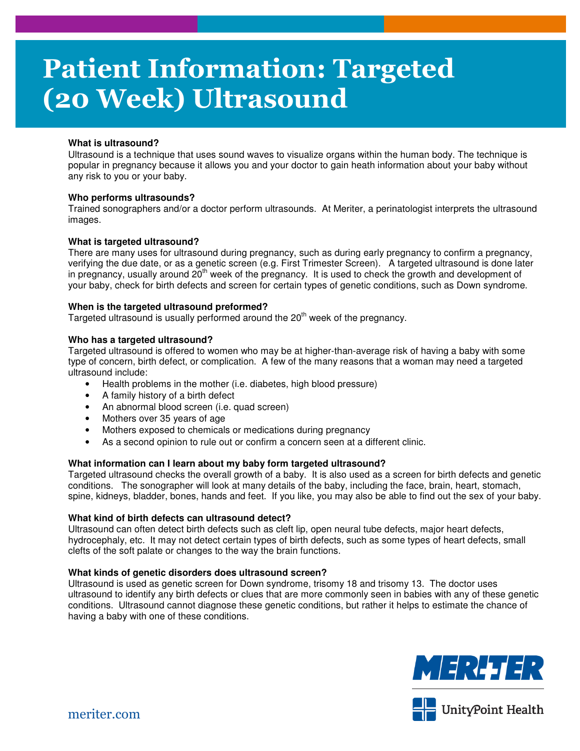# **Patient Information: Targeted (20 Week) Ultrasound**

## **What is ultrasound?**

Ultrasound is a technique that uses sound waves to visualize organs within the human body. The technique is popular in pregnancy because it allows you and your doctor to gain heath information about your baby without any risk to you or your baby.

## **Who performs ultrasounds?**

Trained sonographers and/or a doctor perform ultrasounds. At Meriter, a perinatologist interprets the ultrasound images.

## **What is targeted ultrasound?**

There are many uses for ultrasound during pregnancy, such as during early pregnancy to confirm a pregnancy, verifying the due date, or as a genetic screen (e.g. First Trimester Screen). A targeted ultrasound is done later in pregnancy, usually around  $20<sup>th</sup>$  week of the pregnancy. It is used to check the growth and development of your baby, check for birth defects and screen for certain types of genetic conditions, such as Down syndrome.

## **When is the targeted ultrasound preformed?**

Targeted ultrasound is usually performed around the  $20<sup>th</sup>$  week of the pregnancy.

## **Who has a targeted ultrasound?**

Targeted ultrasound is offered to women who may be at higher-than-average risk of having a baby with some type of concern, birth defect, or complication. A few of the many reasons that a woman may need a targeted ultrasound include:

- Health problems in the mother (i.e. diabetes, high blood pressure)
- A family history of a birth defect
- An abnormal blood screen (i.e. quad screen)
- Mothers over 35 years of age
- Mothers exposed to chemicals or medications during pregnancy
- As a second opinion to rule out or confirm a concern seen at a different clinic.

### **What information can I learn about my baby form targeted ultrasound?**

Targeted ultrasound checks the overall growth of a baby. It is also used as a screen for birth defects and genetic conditions. The sonographer will look at many details of the baby, including the face, brain, heart, stomach, spine, kidneys, bladder, bones, hands and feet. If you like, you may also be able to find out the sex of your baby.

### **What kind of birth defects can ultrasound detect?**

Ultrasound can often detect birth defects such as cleft lip, open neural tube defects, major heart defects, hydrocephaly, etc. It may not detect certain types of birth defects, such as some types of heart defects, small clefts of the soft palate or changes to the way the brain functions.

### **What kinds of genetic disorders does ultrasound screen?**

Ultrasound is used as genetic screen for Down syndrome, trisomy 18 and trisomy 13. The doctor uses ultrasound to identify any birth defects or clues that are more commonly seen in babies with any of these genetic conditions. Ultrasound cannot diagnose these genetic conditions, but rather it helps to estimate the chance of having a baby with one of these conditions.